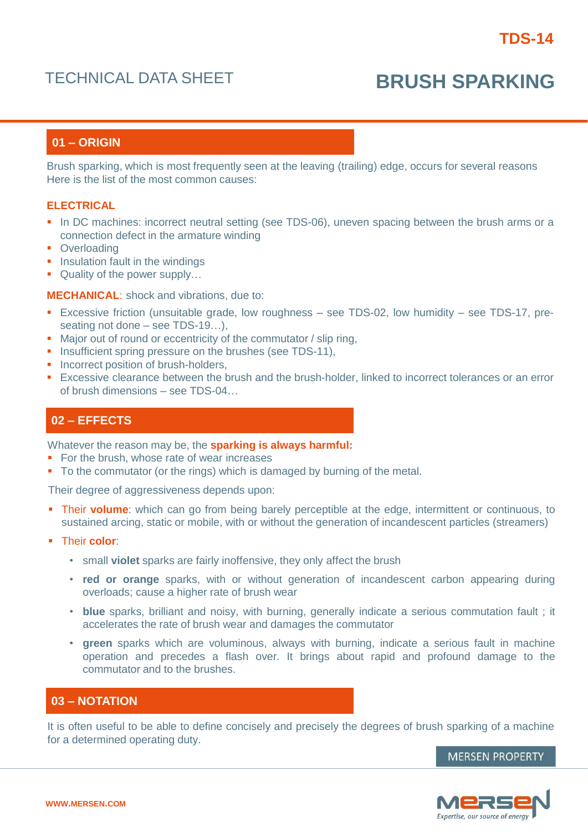# TECHNICAL DATA SHEET **BRUSH SPARKING**

# **01 – ORIGIN**

Brush sparking, which is most frequently seen at the leaving (trailing) edge, occurs for several reasons Here is the list of the most common causes:

#### **ELECTRICAL**

- In DC machines: incorrect neutral setting (see TDS-06), uneven spacing between the brush arms or a connection defect in the armature winding
- Overloading
- **Insulation fault in the windings**
- Quality of the power supply...

**MECHANICAL**: shock and vibrations, due to:

- Excessive friction (unsuitable grade, low roughness see TDS-02, low humidity see TDS-17, preseating not done – see TDS-19…),
- Major out of round or eccentricity of the commutator / slip ring,
- **Insufficient spring pressure on the brushes (see TDS-11),**
- Incorrect position of brush-holders.
- Excessive clearance between the brush and the brush-holder, linked to incorrect tolerances or an error of brush dimensions – see TDS-04…

### **02 – EFFECTS**

Whatever the reason may be, the **sparking is always harmful:**

- For the brush, whose rate of wear increases
- To the commutator (or the rings) which is damaged by burning of the metal.

Their degree of aggressiveness depends upon:

- **Their volume:** which can go from being barely perceptible at the edge, intermittent or continuous, to sustained arcing, static or mobile, with or without the generation of incandescent particles (streamers)
- Their **color**:
	- small **violet** sparks are fairly inoffensive, they only affect the brush
	- **red or orange** sparks, with or without generation of incandescent carbon appearing during overloads; cause a higher rate of brush wear
	- **blue** sparks, brilliant and noisy, with burning, generally indicate a serious commutation fault ; it accelerates the rate of brush wear and damages the commutator
	- **green** sparks which are voluminous, always with burning, indicate a serious fault in machine operation and precedes a flash over. It brings about rapid and profound damage to the commutator and to the brushes.

## **03 – NOTATION**

It is often useful to be able to define concisely and precisely the degrees of brush sparking of a machine for a determined operating duty.

**MERSEN PROPERTY**